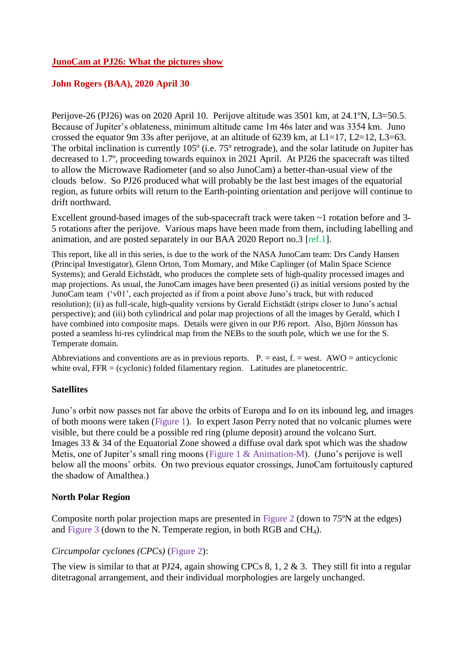## **JunoCam at PJ26: What the pictures show**

## **John Rogers (BAA), 2020 April 30**

Perijove-26 (PJ26) was on 2020 April 10. Perijove altitude was 3501 km, at 24.1ºN, L3=50.5. Because of Jupiter's oblateness, minimum altitude came 1m 46s later and was 3354 km. Juno crossed the equator 9m 33s after perijove, at an altitude of 6239 km, at  $L1=17$ ,  $L2=12$ ,  $L3=63$ . The orbital inclination is currently 105º (i.e. 75º retrograde), and the solar latitude on Jupiter has decreased to 1.7º, proceeding towards equinox in 2021 April. At PJ26 the spacecraft was tilted to allow the Microwave Radiometer (and so also JunoCam) a better-than-usual view of the clouds below. So PJ26 produced what will probably be the last best images of the equatorial region, as future orbits will return to the Earth-pointing orientation and perijove will continue to drift northward.

Excellent ground-based images of the sub-spacecraft track were taken ~1 rotation before and 3- 5 rotations after the perijove. Various maps have been made from them, including labelling and animation, and are posted separately in our BAA 2020 Report no.3 [ref.1].

This report, like all in this series, is due to the work of the NASA JunoCam team: Drs Candy Hansen (Principal Investigator), Glenn Orton, Tom Momary, and Mike Caplinger (of Malin Space Science Systems); and Gerald Eichstädt, who produces the complete sets of high-quality processed images and map projections. As usual, the JunoCam images have been presented (i) as initial versions posted by the JunoCam team ('v01', each projected as if from a point above Juno's track, but with reduced resolution); (ii) as full-scale, high-quality versions by Gerald Eichstädt (strips closer to Juno's actual perspective); and (iii) both cylindrical and polar map projections of all the images by Gerald, which I have combined into composite maps. Details were given in our PJ6 report. Also, Björn Jónsson has posted a seamless hi-res cylindrical map from the NEBs to the south pole, which we use for the S. Temperate domain.

Abbreviations and conventions are as in previous reports.  $P =$  east,  $f =$  west. AWO = anticyclonic white oval,  $FFR = (cyclonic)$  folded filamentary region. Latitudes are planetocentric.

## **Satellites**

Juno's orbit now passes not far above the orbits of Europa and Io on its inbound leg, and images of both moons were taken (Figure 1). Io expert Jason Perry noted that no volcanic plumes were visible, but there could be a possible red ring (plume deposit) around the volcano Surt. Images 33 & 34 of the Equatorial Zone showed a diffuse oval dark spot which was the shadow Metis, one of Jupiter's small ring moons (Figure 1 & Animation-M). (Juno's perijove is well below all the moons' orbits. On two previous equator crossings, JunoCam fortuitously captured the shadow of Amalthea.)

## **North Polar Region**

Composite north polar projection maps are presented in Figure 2 (down to 75ºN at the edges) and Figure 3 (down to the N. Temperate region, in both RGB and  $CH<sub>4</sub>$ ).

## *Circumpolar cyclones (CPCs)* (Figure 2):

The view is similar to that at PJ24, again showing CPCs 8, 1, 2  $\&$  3. They still fit into a regular ditetragonal arrangement, and their individual morphologies are largely unchanged.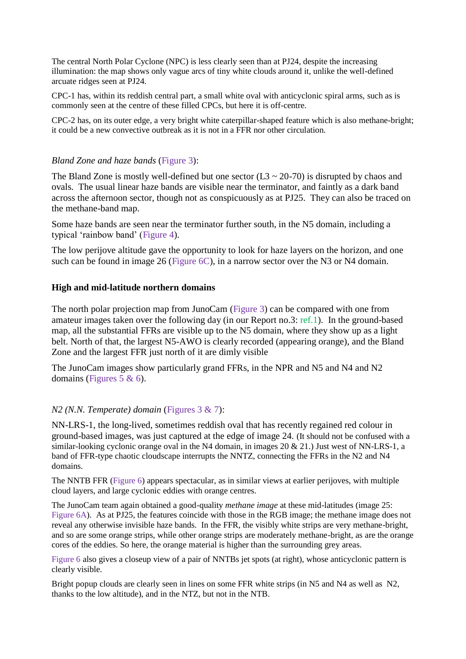The central North Polar Cyclone (NPC) is less clearly seen than at PJ24, despite the increasing illumination: the map shows only vague arcs of tiny white clouds around it, unlike the well-defined arcuate ridges seen at PJ24.

CPC-1 has, within its reddish central part, a small white oval with anticyclonic spiral arms, such as is commonly seen at the centre of these filled CPCs, but here it is off-centre.

CPC-2 has, on its outer edge, a very bright white caterpillar-shaped feature which is also methane-bright; it could be a new convective outbreak as it is not in a FFR nor other circulation.

## *Bland Zone and haze bands* (Figure 3):

The Bland Zone is mostly well-defined but one sector  $(L3 \sim 20-70)$  is disrupted by chaos and ovals. The usual linear haze bands are visible near the terminator, and faintly as a dark band across the afternoon sector, though not as conspicuously as at PJ25. They can also be traced on the methane-band map.

Some haze bands are seen near the terminator further south, in the N5 domain, including a typical 'rainbow band' (Figure 4).

The low perijove altitude gave the opportunity to look for haze layers on the horizon, and one such can be found in image 26 (Figure 6C), in a narrow sector over the N3 or N4 domain.

#### **High and mid-latitude northern domains**

The north polar projection map from JunoCam (Figure 3) can be compared with one from amateur images taken over the following day (in our Report no.3: ref.1). In the ground-based map, all the substantial FFRs are visible up to the N5 domain, where they show up as a light belt. North of that, the largest N5-AWO is clearly recorded (appearing orange), and the Bland Zone and the largest FFR just north of it are dimly visible

The JunoCam images show particularly grand FFRs, in the NPR and N5 and N4 and N2 domains (Figures 5  $\&$  6).

## *N2 (N.N. Temperate) domain* (Figures 3 & 7):

NN-LRS-1, the long-lived, sometimes reddish oval that has recently regained red colour in ground-based images, was just captured at the edge of image 24. (It should not be confused with a similar-looking cyclonic orange oval in the N4 domain, in images  $20 \& 21$ .) Just west of NN-LRS-1, a band of FFR-type chaotic cloudscape interrupts the NNTZ, connecting the FFRs in the N2 and N4 domains.

The NNTB FFR (Figure 6) appears spectacular, as in similar views at earlier perijoves, with multiple cloud layers, and large cyclonic eddies with orange centres.

The JunoCam team again obtained a good-quality *methane image* at these mid-latitudes (image 25: Figure 6A). As at PJ25, the features coincide with those in the RGB image; the methane image does not reveal any otherwise invisible haze bands. In the FFR, the visibly white strips are very methane-bright, and so are some orange strips, while other orange strips are moderately methane-bright, as are the orange cores of the eddies. So here, the orange material is higher than the surrounding grey areas.

Figure 6 also gives a closeup view of a pair of NNTBs jet spots (at right), whose anticyclonic pattern is clearly visible.

Bright popup clouds are clearly seen in lines on some FFR white strips (in N5 and N4 as well as N2, thanks to the low altitude), and in the NTZ, but not in the NTB.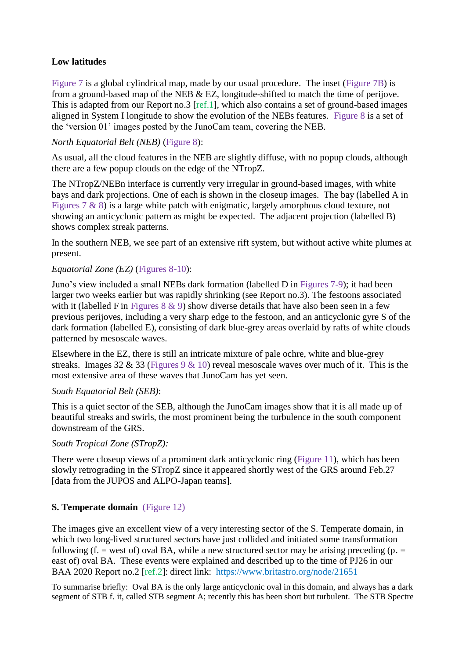# **Low latitudes**

Figure 7 is a global cylindrical map, made by our usual procedure. The inset (Figure 7B) is from a ground-based map of the NEB & EZ, longitude-shifted to match the time of perijove. This is adapted from our Report no.3 [ref.1], which also contains a set of ground-based images aligned in System I longitude to show the evolution of the NEBs features. Figure 8 is a set of the 'version 01' images posted by the JunoCam team, covering the NEB.

## *North Equatorial Belt (NEB)* (Figure 8):

As usual, all the cloud features in the NEB are slightly diffuse, with no popup clouds, although there are a few popup clouds on the edge of the NTropZ.

The NTropZ/NEBn interface is currently very irregular in ground-based images, with white bays and dark projections. One of each is shown in the closeup images. The bay (labelled A in Figures 7 & 8) is a large white patch with enigmatic, largely amorphous cloud texture, not showing an anticyclonic pattern as might be expected. The adjacent projection (labelled B) shows complex streak patterns.

In the southern NEB, we see part of an extensive rift system, but without active white plumes at present.

# *Equatorial Zone (EZ)* (Figures 8-10):

Juno's view included a small NEBs dark formation (labelled D in Figures 7-9); it had been larger two weeks earlier but was rapidly shrinking (see Report no.3). The festoons associated with it (labelled F in Figures  $8 \& 9$ ) show diverse details that have also been seen in a few previous perijoves, including a very sharp edge to the festoon, and an anticyclonic gyre S of the dark formation (labelled E), consisting of dark blue-grey areas overlaid by rafts of white clouds patterned by mesoscale waves.

Elsewhere in the EZ, there is still an intricate mixture of pale ochre, white and blue-grey streaks. Images 32 & 33 (Figures 9 & 10) reveal mesoscale waves over much of it. This is the most extensive area of these waves that JunoCam has yet seen.

## *South Equatorial Belt (SEB)*:

This is a quiet sector of the SEB, although the JunoCam images show that it is all made up of beautiful streaks and swirls, the most prominent being the turbulence in the south component downstream of the GRS.

## *South Tropical Zone (STropZ):*

There were closeup views of a prominent dark anticyclonic ring (Figure 11), which has been slowly retrograding in the STropZ since it appeared shortly west of the GRS around Feb.27 [data from the JUPOS and ALPO-Japan teams].

# **S. Temperate domain** (Figure 12)

The images give an excellent view of a very interesting sector of the S. Temperate domain, in which two long-lived structured sectors have just collided and initiated some transformation following (f. = west of) oval BA, while a new structured sector may be arising preceding (p. = east of) oval BA. These events were explained and described up to the time of PJ26 in our BAA 2020 Report no.2 [ref.2]: direct link: https://www.britastro.org/node/21651

To summarise briefly: Oval BA is the only large anticyclonic oval in this domain, and always has a dark segment of STB f. it, called STB segment A; recently this has been short but turbulent. The STB Spectre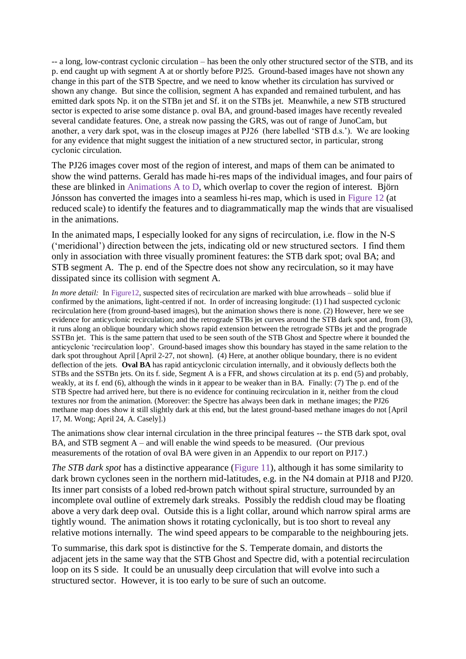-- a long, low-contrast cyclonic circulation – has been the only other structured sector of the STB, and its p. end caught up with segment A at or shortly before PJ25. Ground-based images have not shown any change in this part of the STB Spectre, and we need to know whether its circulation has survived or shown any change. But since the collision, segment A has expanded and remained turbulent, and has emitted dark spots Np. it on the STBn jet and Sf. it on the STBs jet. Meanwhile, a new STB structured sector is expected to arise some distance p. oval BA, and ground-based images have recently revealed several candidate features. One, a streak now passing the GRS, was out of range of JunoCam, but another, a very dark spot, was in the closeup images at PJ26 (here labelled 'STB d.s.'). We are looking for any evidence that might suggest the initiation of a new structured sector, in particular, strong cyclonic circulation.

The PJ26 images cover most of the region of interest, and maps of them can be animated to show the wind patterns. Gerald has made hi-res maps of the individual images, and four pairs of these are blinked in Animations A to D, which overlap to cover the region of interest. Björn Jónsson has converted the images into a seamless hi-res map, which is used in Figure 12 (at reduced scale) to identify the features and to diagrammatically map the winds that are visualised in the animations.

In the animated maps, I especially looked for any signs of recirculation, i.e. flow in the N-S ('meridional') direction between the jets, indicating old or new structured sectors. I find them only in association with three visually prominent features: the STB dark spot; oval BA; and STB segment A. The p. end of the Spectre does not show any recirculation, so it may have dissipated since its collision with segment A.

*In more detail:* In Figure12, suspected sites of recirculation are marked with blue arrowheads – solid blue if confirmed by the animations, light-centred if not. In order of increasing longitude: (1) I had suspected cyclonic recirculation here (from ground-based images), but the animation shows there is none. (2) However, here we see evidence for anticyclonic recirculation; and the retrograde STBs jet curves around the STB dark spot and, from (3), it runs along an oblique boundary which shows rapid extension between the retrograde STBs jet and the prograde SSTBn jet. This is the same pattern that used to be seen south of the STB Ghost and Spectre where it bounded the anticyclonic 'recirculation loop'. Ground-based images show this boundary has stayed in the same relation to the dark spot throughout April [April 2-27, not shown]. (4) Here, at another oblique boundary, there is no evident deflection of the jets. **Oval BA** has rapid anticyclonic circulation internally, and it obviously deflects both the STBs and the SSTBn jets. On its f. side, Segment A is a FFR, and shows circulation at its p. end (5) and probably, weakly, at its f. end (6), although the winds in it appear to be weaker than in BA. Finally: (7) The p. end of the STB Spectre had arrived here, but there is no evidence for continuing recirculation in it, neither from the cloud textures nor from the animation. (Moreover: the Spectre has always been dark in methane images; the PJ26 methane map does show it still slightly dark at this end, but the latest ground-based methane images do not [April 17, M. Wong; April 24, A. Casely].)

The animations show clear internal circulation in the three principal features -- the STB dark spot, oval BA, and STB segment A – and will enable the wind speeds to be measured. (Our previous measurements of the rotation of oval BA were given in an Appendix to our report on PJ17.)

*The STB dark spot* has a distinctive appearance (Figure 11), although it has some similarity to dark brown cyclones seen in the northern mid-latitudes, e.g. in the N4 domain at PJ18 and PJ20. Its inner part consists of a lobed red-brown patch without spiral structure, surrounded by an incomplete oval outline of extremely dark streaks. Possibly the reddish cloud may be floating above a very dark deep oval. Outside this is a light collar, around which narrow spiral arms are tightly wound. The animation shows it rotating cyclonically, but is too short to reveal any relative motions internally. The wind speed appears to be comparable to the neighbouring jets.

To summarise, this dark spot is distinctive for the S. Temperate domain, and distorts the adjacent jets in the same way that the STB Ghost and Spectre did, with a potential recirculation loop on its S side. It could be an unusually deep circulation that will evolve into such a structured sector. However, it is too early to be sure of such an outcome.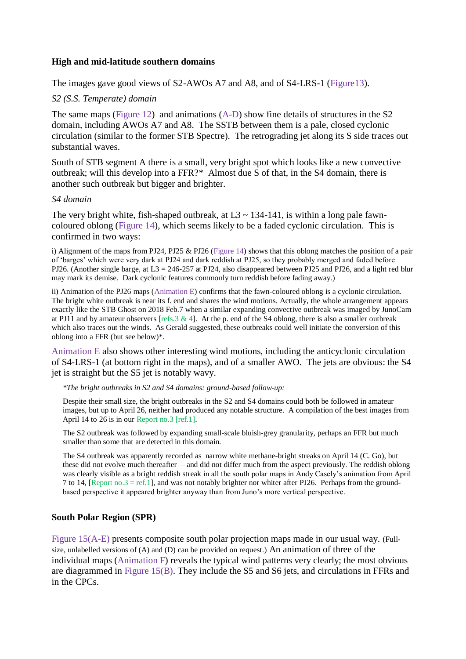#### **High and mid-latitude southern domains**

The images gave good views of S2-AWOs A7 and A8, and of S4-LRS-1 (Figure 13).

### *S2 (S.S. Temperate) domain*

The same maps (Figure 12) and animations (A-D) show fine details of structures in the S2 domain, including AWOs A7 and A8. The SSTB between them is a pale, closed cyclonic circulation (similar to the former STB Spectre). The retrograding jet along its S side traces out substantial waves.

South of STB segment A there is a small, very bright spot which looks like a new convective outbreak; will this develop into a FFR?\* Almost due S of that, in the S4 domain, there is another such outbreak but bigger and brighter.

#### *S4 domain*

The very bright white, fish-shaped outbreak, at  $L3 \sim 134$ -141, is within a long pale fawncoloured oblong (Figure 14), which seems likely to be a faded cyclonic circulation. This is confirmed in two ways:

i) Alignment of the maps from PJ24, PJ25 & PJ26 (Figure 14) shows that this oblong matches the position of a pair of 'barges' which were very dark at PJ24 and dark reddish at PJ25, so they probably merged and faded before PJ26. (Another single barge, at L3 = 246-257 at PJ24, also disappeared between PJ25 and PJ26, and a light red blur may mark its demise. Dark cyclonic features commonly turn reddish before fading away.)

ii) Animation of the PJ26 maps (Animation E) confirms that the fawn-coloured oblong is a cyclonic circulation. The bright white outbreak is near its f. end and shares the wind motions. Actually, the whole arrangement appears exactly like the STB Ghost on 2018 Feb.7 when a similar expanding convective outbreak was imaged by JunoCam at PJ11 and by amateur observers [refs.3 & 4]. At the p. end of the S4 oblong, there is also a smaller outbreak which also traces out the winds. As Gerald suggested, these outbreaks could well initiate the conversion of this oblong into a FFR (but see below)\*.

Animation E also shows other interesting wind motions, including the anticyclonic circulation of S4-LRS-1 (at bottom right in the maps), and of a smaller AWO. The jets are obvious: the S4 jet is straight but the S5 jet is notably wavy.

*\*The bright outbreaks in S2 and S4 domains: ground-based follow-up:*

Despite their small size, the bright outbreaks in the S2 and S4 domains could both be followed in amateur images, but up to April 26, neither had produced any notable structure. A compilation of the best images from April 14 to 26 is in our Report no.3 [ref.1].

The S2 outbreak was followed by expanding small-scale bluish-grey granularity, perhaps an FFR but much smaller than some that are detected in this domain.

The S4 outbreak was apparently recorded as narrow white methane-bright streaks on April 14 (C. Go), but these did not evolve much thereafter – and did not differ much from the aspect previously. The reddish oblong was clearly visible as a bright reddish streak in all the south polar maps in Andy Casely's animation from April 7 to 14, [Report no.3 = ref.1], and was not notably brighter nor whiter after PJ26. Perhaps from the groundbased perspective it appeared brighter anyway than from Juno's more vertical perspective.

## **South Polar Region (SPR)**

Figure 15(A-E) presents composite south polar projection maps made in our usual way. (Fullsize, unlabelled versions of (A) and (D) can be provided on request.) An animation of three of the individual maps (Animation F) reveals the typical wind patterns very clearly; the most obvious are diagrammed in Figure 15(B). They include the S5 and S6 jets, and circulations in FFRs and in the CPCs.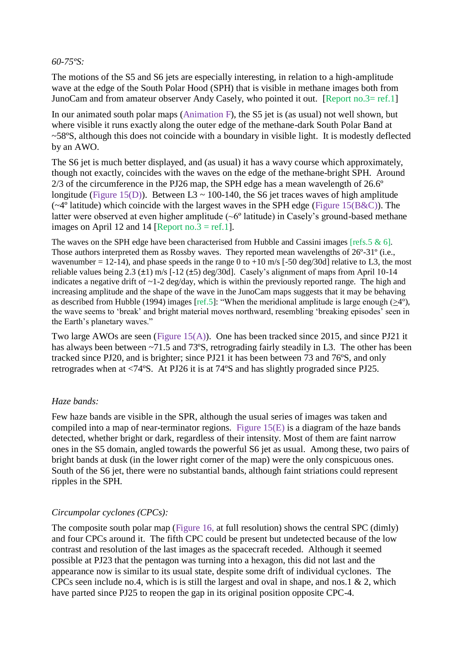### *60-75ºS:*

The motions of the S5 and S6 jets are especially interesting, in relation to a high-amplitude wave at the edge of the South Polar Hood (SPH) that is visible in methane images both from JunoCam and from amateur observer Andy Casely, who pointed it out. [Report no.3= ref.1]

In our animated south polar maps (Animation F), the S5 jet is (as usual) not well shown, but where visible it runs exactly along the outer edge of the methane-dark South Polar Band at ~58ºS, although this does not coincide with a boundary in visible light. It is modestly deflected by an AWO.

The S6 jet is much better displayed, and (as usual) it has a wavy course which approximately, though not exactly, coincides with the waves on the edge of the methane-bright SPH. Around 2/3 of the circumference in the PJ26 map, the SPH edge has a mean wavelength of 26.6º longitude (Figure 15(D)). Between L3  $\sim$  100-140, the S6 jet traces waves of high amplitude  $(\sim 4^{\circ}$  latitude) which coincide with the largest waves in the SPH edge (Figure 15(B&C)). The latter were observed at even higher amplitude ( $\sim 6^{\circ}$  latitude) in Casely's ground-based methane images on April 12 and 14 [Report no.3 = ref.1].

The waves on the SPH edge have been characterised from Hubble and Cassini images [refs.5  $\&$  6]. Those authors interpreted them as Rossby waves. They reported mean wavelengths of 26º-31º (i.e., wavenumber = 12-14), and phase speeds in the range 0 to +10 m/s [-50 deg/30d] relative to L3, the most reliable values being 2.3 ( $\pm$ 1) m/s [-12 ( $\pm$ 5) deg/30d]. Casely's alignment of maps from April 10-14 indicates a negative drift of  $\sim$ 1-2 deg/day, which is within the previously reported range. The high and increasing amplitude and the shape of the wave in the JunoCam maps suggests that it may be behaving as described from Hubble (1994) images [ref.5]: "When the meridional amplitude is large enough (>4º), the wave seems to 'break' and bright material moves northward, resembling 'breaking episodes' seen in the Earth's planetary waves."

Two large AWOs are seen (Figure 15(A)). One has been tracked since 2015, and since PJ21 it has always been between ~71.5 and 73°S, retrograding fairly steadily in L3. The other has been tracked since PJ20, and is brighter; since PJ21 it has been between 73 and 76ºS, and only retrogrades when at <74ºS. At PJ26 it is at 74ºS and has slightly prograded since PJ25.

## *Haze bands:*

Few haze bands are visible in the SPR, although the usual series of images was taken and compiled into a map of near-terminator regions. Figure 15(E) is a diagram of the haze bands detected, whether bright or dark, regardless of their intensity. Most of them are faint narrow ones in the S5 domain, angled towards the powerful S6 jet as usual. Among these, two pairs of bright bands at dusk (in the lower right corner of the map) were the only conspicuous ones. South of the S6 jet, there were no substantial bands, although faint striations could represent ripples in the SPH.

# *Circumpolar cyclones (CPCs):*

The composite south polar map (Figure 16, at full resolution) shows the central SPC (dimly) and four CPCs around it. The fifth CPC could be present but undetected because of the low contrast and resolution of the last images as the spacecraft receded. Although it seemed possible at PJ23 that the pentagon was turning into a hexagon, this did not last and the appearance now is similar to its usual state, despite some drift of individual cyclones. The CPCs seen include no.4, which is is still the largest and oval in shape, and nos.1  $\&$  2, which have parted since PJ25 to reopen the gap in its original position opposite CPC-4.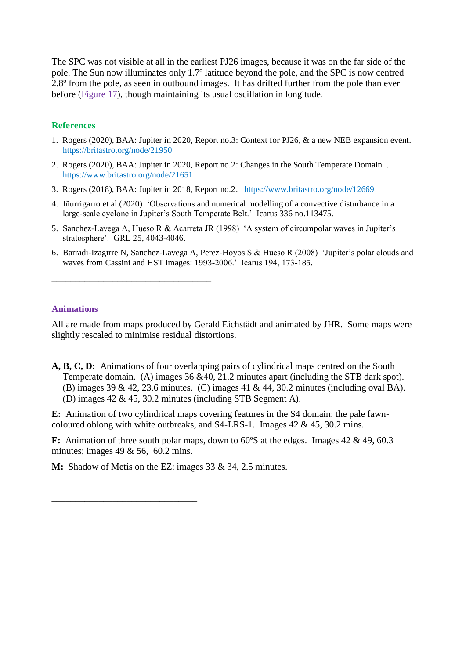The SPC was not visible at all in the earliest PJ26 images, because it was on the far side of the pole. The Sun now illuminates only 1.7º latitude beyond the pole, and the SPC is now centred 2.8<sup>o</sup> from the pole, as seen in outbound images. It has drifted further from the pole than ever before (Figure 17), though maintaining its usual oscillation in longitude.

## **References**

- 1. Rogers (2020), BAA: Jupiter in 2020, Report no.3: Context for PJ26, & a new NEB expansion event. https://britastro.org/node/21950
- 2. Rogers (2020), BAA: Jupiter in 2020, Report no.2: Changes in the South Temperate Domain. . https://www.britastro.org/node/21651
- 3. Rogers (2018), BAA: Jupiter in 2018, Report no.2. https://www.britastro.org/node/12669
- 4. Iñurrigarro et al.(2020) 'Observations and numerical modelling of a convective disturbance in a large-scale cyclone in Jupiter's South Temperate Belt.' Icarus 336 no.113475.
- 5. Sanchez-Lavega A, Hueso R & Acarreta JR (1998) 'A system of circumpolar waves in Jupiter's stratosphere'. GRL 25, 4043-4046.
- 6. Barradi-Izagirre N, Sanchez-Lavega A, Perez-Hoyos S & Hueso R (2008) 'Jupiter's polar clouds and waves from Cassini and HST images: 1993-2006.' Icarus 194, 173-185.

#### **Animations**

\_\_\_\_\_\_\_\_\_\_\_\_\_\_\_\_\_\_\_\_\_\_\_\_\_\_\_\_\_\_\_\_\_\_

\_\_\_\_\_\_\_\_\_\_\_\_\_\_\_\_\_\_\_\_\_\_\_\_\_\_\_\_\_\_\_

All are made from maps produced by Gerald Eichstädt and animated by JHR. Some maps were slightly rescaled to minimise residual distortions.

**A, B, C, D:** Animations of four overlapping pairs of cylindrical maps centred on the South Temperate domain. (A) images 36 &40, 21.2 minutes apart (including the STB dark spot). (B) images 39 & 42, 23.6 minutes. (C) images 41 & 44, 30.2 minutes (including oval BA). (D) images 42 & 45, 30.2 minutes (including STB Segment A).

**E:** Animation of two cylindrical maps covering features in the S4 domain: the pale fawncoloured oblong with white outbreaks, and  $S4$ -LRS-1. Images 42 & 45, 30.2 mins.

**F:** Animation of three south polar maps, down to 60°S at the edges. Images 42 & 49, 60.3 minutes; images  $49 \& 56$ ,  $60.2$  mins.

**M:** Shadow of Metis on the EZ: images 33 & 34, 2.5 minutes.